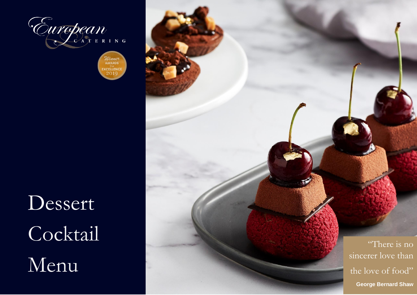

Winner<br>AWARDS **EXCELLENCE** 2010

Dessert Cocktail Menu

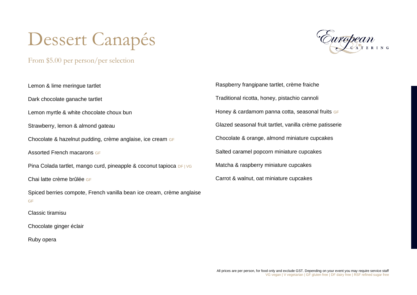# Dessert Canapés

From \$5.00 per person/per selection



Lemon & lime meringue tartlet Dark chocolate ganache tartlet Lemon myrtle & white chocolate choux bun Strawberry, lemon & almond gateau Chocolate & hazelnut pudding, crème anglaise, ice cream GF Assorted French macarons GF Pina Colada tartlet, mango curd, pineapple & coconut tapioca DF | VG Chai latte crème brûlée GF Spiced berries compote, French vanilla bean ice cream, crème anglaise GF Classic tiramisu Chocolate ginger éclair Ruby opera

Raspberry frangipane tartlet, crème fraiche Traditional ricotta, honey, pistachio cannoli Honey & cardamom panna cotta, seasonal fruits GF Glazed seasonal fruit tartlet, vanilla crème patisserie Chocolate & orange, almond miniature cupcakes Salted caramel popcorn miniature cupcakes Matcha & raspberry miniature cupcakes Carrot & walnut, oat miniature cupcakes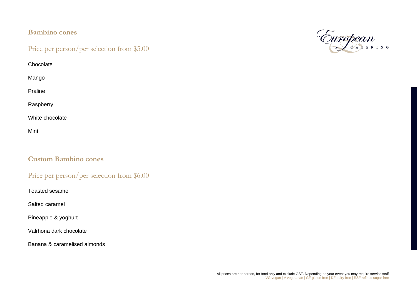#### **Bambino cones**

#### Price per person/per selection from \$5.00

**Chocolate** 

Mango

Praline

Raspberry

White chocolate

Mint

#### **Custom Bambino cones**

#### Price per person/per selection from \$6.00

Toasted sesame

Salted caramel

Pineapple & yoghurt

Valrhona dark chocolate

Banana & caramelised almonds

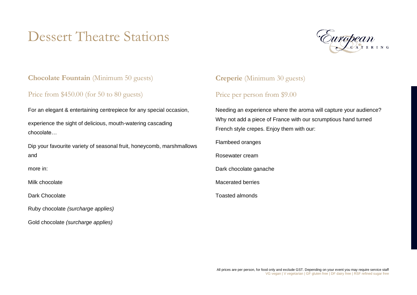# Dessert Theatre Stations



#### **Chocolate Fountain** (Minimum 50 guests)

#### Price from \$450.00 (for 50 to 80 guests)

For an elegant & entertaining centrepiece for any special occasion,

experience the sight of delicious, mouth-watering cascading chocolate…

Dip your favourite variety of seasonal fruit, honeycomb, marshmallows and

more in:

Milk chocolate

Dark Chocolate

Ruby chocolate *(surcharge applies)*

Gold chocolate *(surcharge applies)*

#### **Creperie** (Minimum 30 guests)

#### Price per person from \$9.00

Needing an experience where the aroma will capture your audience? Why not add a piece of France with our scrumptious hand turned French style crepes. Enjoy them with our:

Flambeed oranges

Rosewater cream

Dark chocolate ganache

Macerated berries

Toasted almonds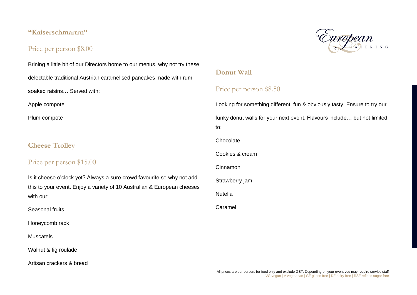#### **"Kaiserschmarrrn"**

#### Price per person \$8.00

European

Brining a little bit of our Directors home to our menus, why not try these delectable traditional Austrian caramelised pancakes made with rum soaked raisins… Served with: Apple compote Plum compote

#### **Cheese Trolley**

#### Price per person \$15.00

Is it cheese o'clock yet? Always a sure crowd favourite so why not add this to your event. Enjoy a variety of 10 Australian & European cheeses with our:

Seasonal fruits

Honeycomb rack

**Muscatels** 

Walnut & fig roulade

Artisan crackers & bread

#### **Donut Wall**

#### Price per person \$8.50

Looking for something different, fun & obviously tasty. Ensure to try our funky donut walls for your next event. Flavours include… but not limited to:

**Chocolate** 

Cookies & cream

Cinnamon

Strawberry jam

Nutella

Caramel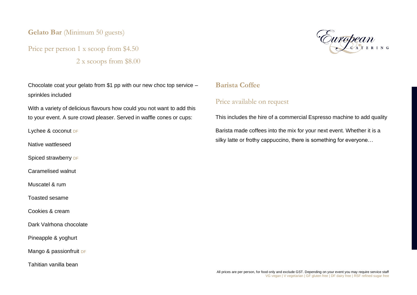**Gelato Bar** (Minimum 50 guests)

## Price per person 1 x scoop from \$4.50 2 x scoops from \$8.00

Chocolate coat your gelato from \$1 pp with our new choc top service – sprinkles included

With a variety of delicious flavours how could you not want to add this to your event. A sure crowd pleaser. Served in waffle cones or cups:

Lychee & coconut DF

Native wattleseed

Spiced strawberry DF

Caramelised walnut

Muscatel & rum

Toasted sesame

Cookies & cream

Dark Valrhona chocolate

Pineapple & yoghurt

Mango & passionfruit DF

Tahitian vanilla bean



#### **Barista Coffee**

#### Price available on request

This includes the hire of a commercial Espresso machine to add quality

Barista made coffees into the mix for your next event. Whether it is a silky latte or frothy cappuccino, there is something for everyone…